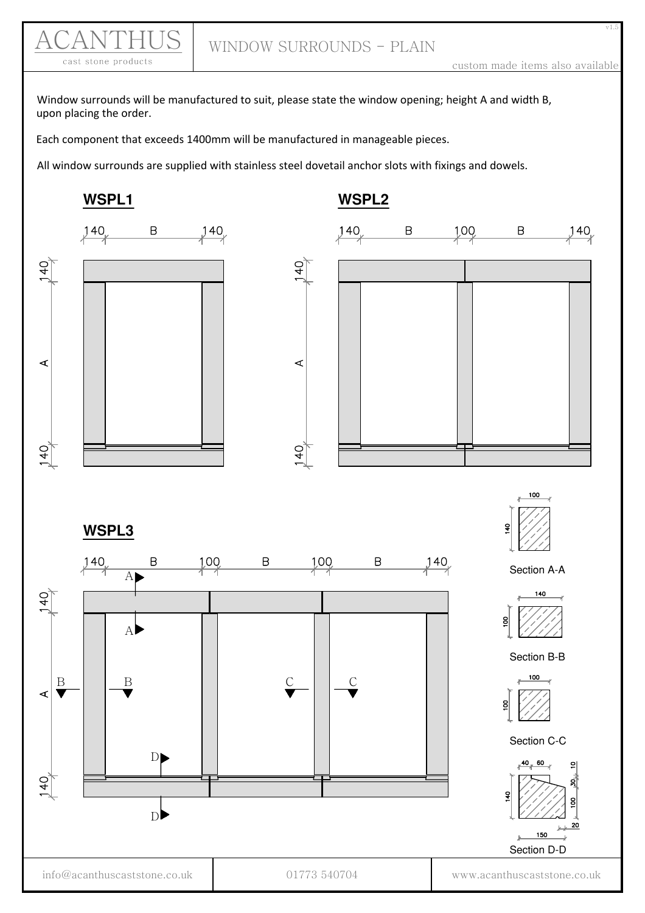WINDOW SURROUNDS - PLAIN

cast stone products

ACANTHUS

 $v1$ .

Window surrounds will be manufactured to suit, please state the window opening; height A and width B, upon placing the order.

Each component that exceeds 1400mm will be manufactured in manageable pieces.

All window surrounds are supplied with stainless steel dovetail anchor slots with fixings and dowels.

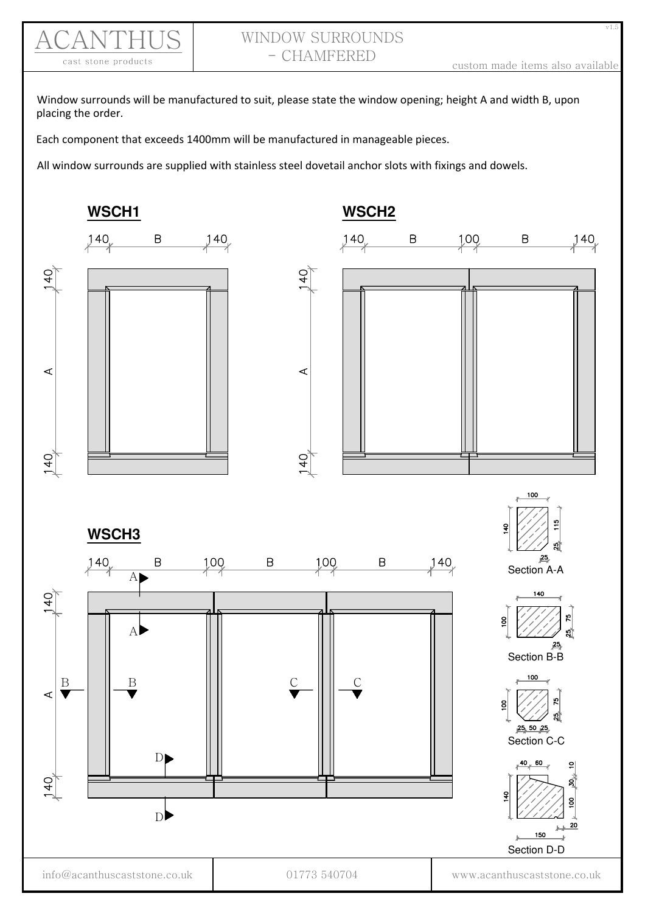

v1.5

Window surrounds will be manufactured to suit, please state the window opening; height A and width B, upon placing the order.

Each component that exceeds 1400mm will be manufactured in manageable pieces.

All window surrounds are supplied with stainless steel dovetail anchor slots with fixings and dowels.

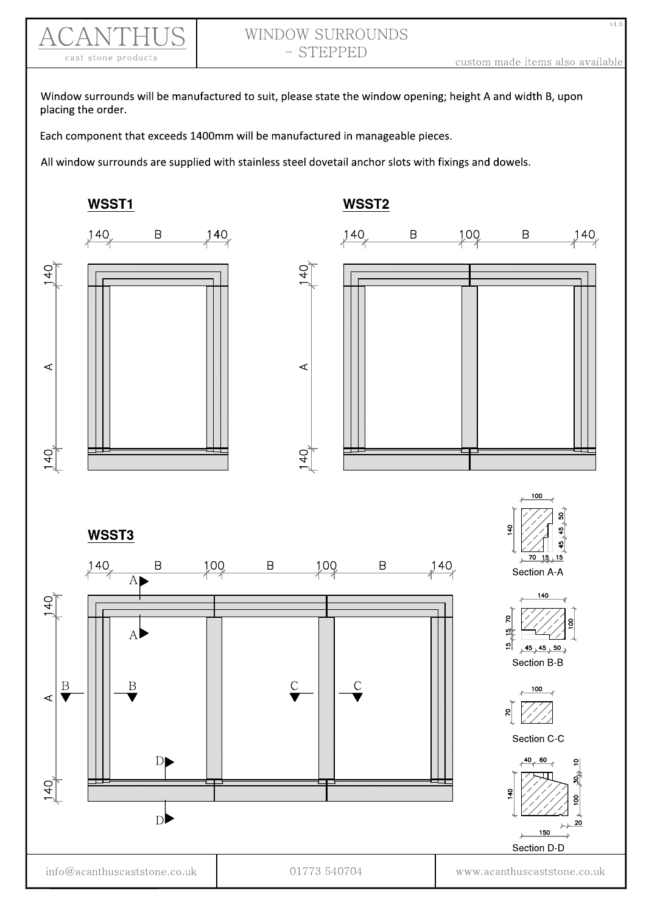

Window surrounds will be manufactured to suit, please state the window opening; height A and width B, upon placing the order.

Each component that exceeds 1400mm will be manufactured in manageable pieces.

All window surrounds are supplied with stainless steel dovetail anchor slots with fixings and dowels.

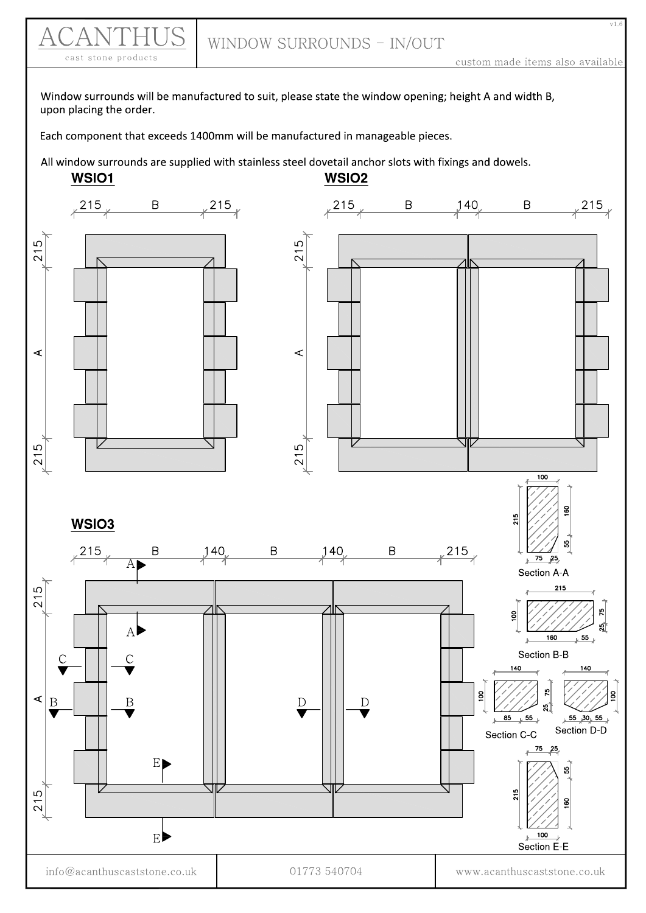WINDOW SURROUNDS - IN/OUT cast stone products custom made items also available Window surrounds will be manufactured to suit, please state the window opening; height A and width B, upon placing the order. Each component that exceeds 1400mm will be manufactured in manageable pieces. All window surrounds are supplied with stainless steel dovetail anchor slots with fixings and dowels. WSIO1 WSIO<sub>2</sub>  $x^2$ <sup>15</sup> $x$  B  $215$  $\overline{B}$  215  $\overline{B}$   $\overline{215}$  $140$  $215$  $215$  $\prec$ ⋖ 215 215 100  $215$ WSIO3 у.  $x^{215}$  $\overline{B}$   $\overline{215}$  $140<sub>u</sub>$  $\,$  B  $140$  $\sf B$  $75$  $25$  $\overline{A}$ Section A-A 215  $215$ 12  $\overline{8}$ ्रौ  $\overline{160}$ \_<br>\_\_55 \_ Section B-B 140  $140$ **ی**  $\overline{8}$  $\prec$ B D D К នា៎ \_<br>\_\_55\_\_  $, 55, 30, 55$ 85 Section D-D Section C-C E  $215$  $\Omega$ 8  $\overline{2}1$ 

info@acanthuscaststone.co.uk

 $E$ 

www.acanthuscaststone.co.uk

100

Section E-E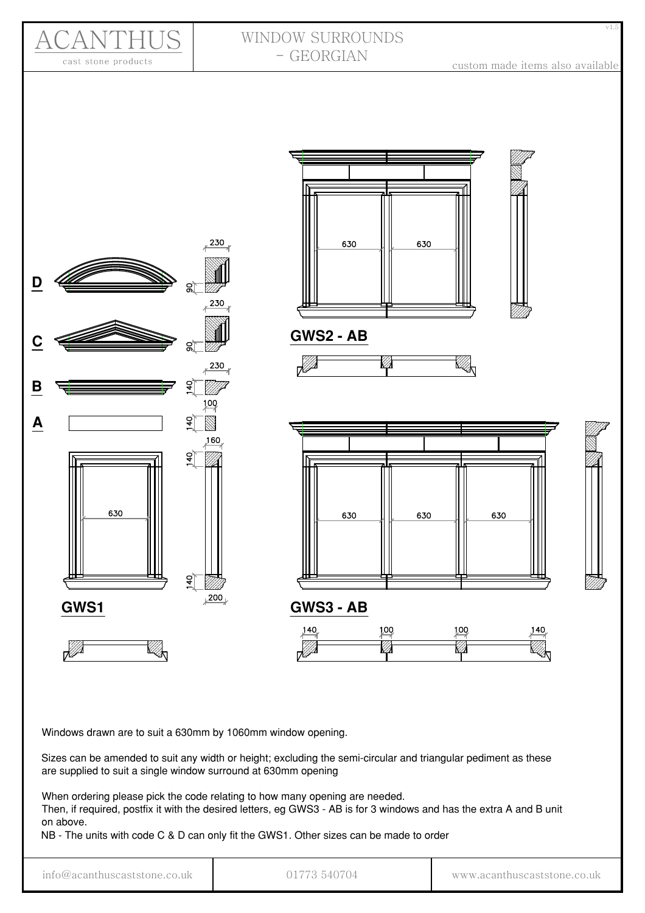

cast stone products

custom made items also available





**GWS2 - AB** 





**GWS3 - AB** 



Windows drawn are to suit a 630mm by 1060mm window opening.

Sizes can be amended to suit any width or height; excluding the semi-circular and triangular pediment as these are supplied to suit a single window surround at 630mm opening

When ordering please pick the code relating to how many opening are needed.

Then, if required, postfix it with the desired letters, eg GWS3 - AB is for 3 windows and has the extra A and B unit on above.

NB - The units with code C & D can only fit the GWS1. Other sizes can be made to order

| info@acanthuscaststone.co.uk |  |
|------------------------------|--|
|------------------------------|--|

01773 540704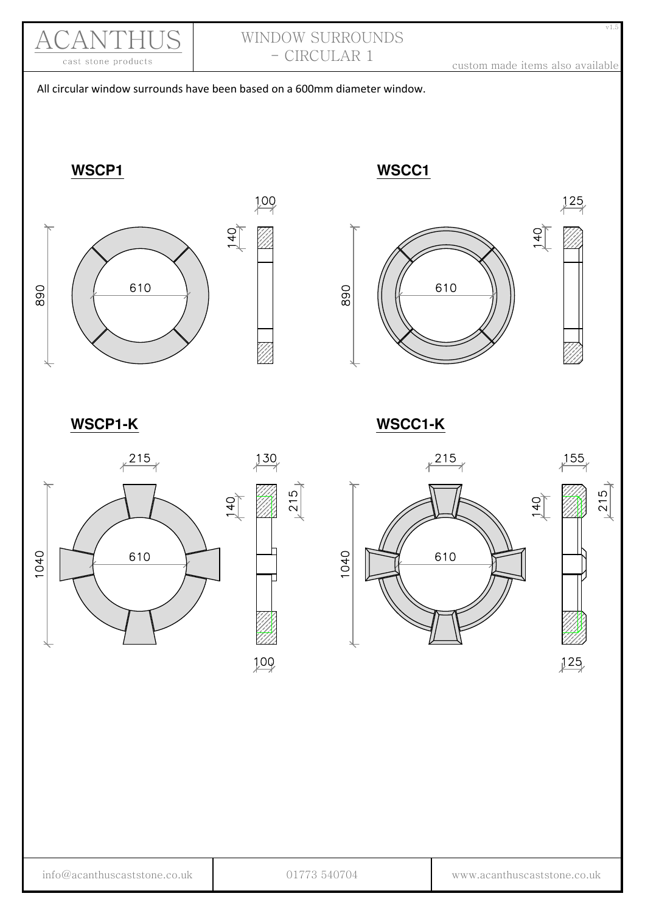

- CIRCULAR 1

WINDOW SURROUNDS

custom made items also available

 $125$ 

 $v1.5$ 

All circular window surrounds have been based on a 600mm diameter window.

**WSCP1** 



 $140$ 610 890

**WSCP1-K** 



**WSCC1-K** 

WSCC1

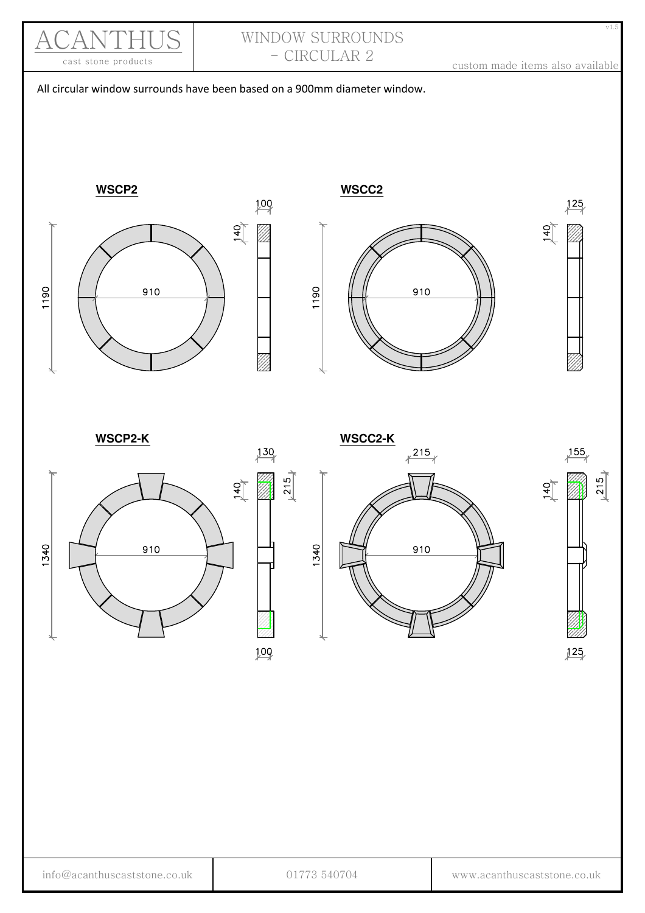

WINDOW SURROUNDS - CIRCULAR 2

1190

custom made items also available

 $125$ 

 $\frac{40}{4}$ 

 $v1$ .

All circular window surrounds have been based on a 900mm diameter window.





WSCP2-K







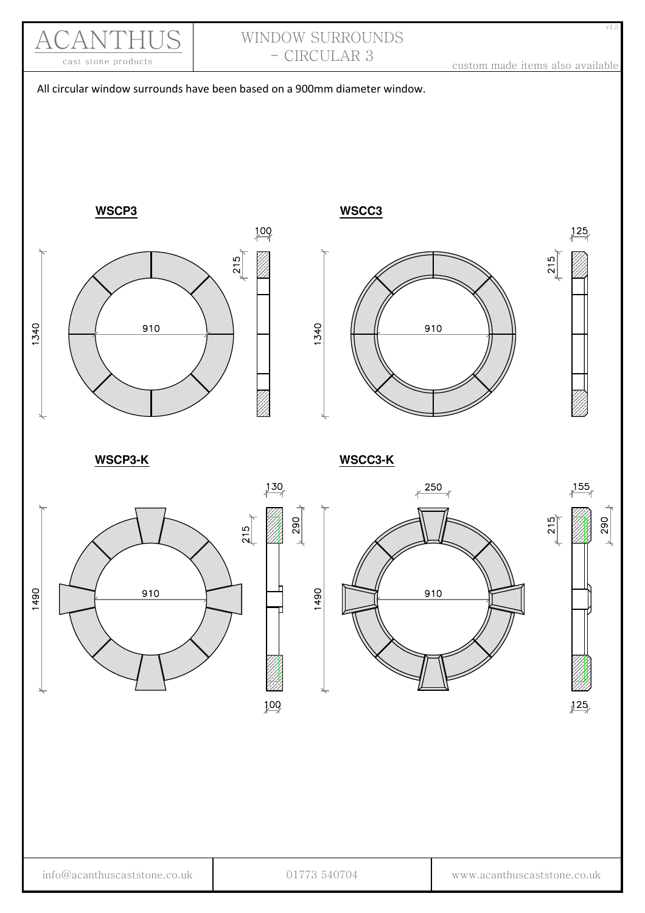